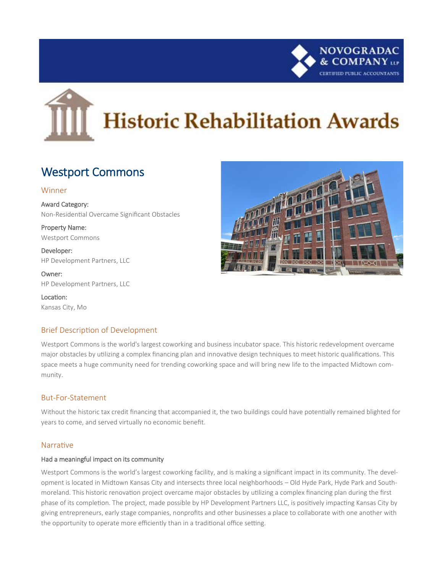

# **Historic Rehabilitation Awards**

# Westport Commons

#### Winner

Award Category: Non-Residential Overcame Significant Obstacles

Property Name: Westport Commons

Developer: HP Development Partners, LLC

Owner: HP Development Partners, LLC

Location: Kansas City, Mo

## Brief Description of Development

Westport Commons is the world's largest coworking and business incubator space. This historic redevelopment overcame major obstacles by utilizing a complex financing plan and innovative design techniques to meet historic qualifications. This space meets a huge community need for trending coworking space and will bring new life to the impacted Midtown community.

### But-For-Statement

Without the historic tax credit financing that accompanied it, the two buildings could have potentially remained blighted for years to come, and served virtually no economic benefit.

#### Narrative

#### Had a meaningful impact on its community

Westport Commons is the world's largest coworking facility, and is making a significant impact in its community. The development is located in Midtown Kansas City and intersects three local neighborhoods – Old Hyde Park, Hyde Park and Southmoreland. This historic renovation project overcame major obstacles by utilizing a complex financing plan during the first phase of its completion. The project, made possible by HP Development Partners LLC, is positively impacting Kansas City by giving entrepreneurs, early stage companies, nonprofits and other businesses a place to collaborate with one another with the opportunity to operate more efficiently than in a traditional office setting.